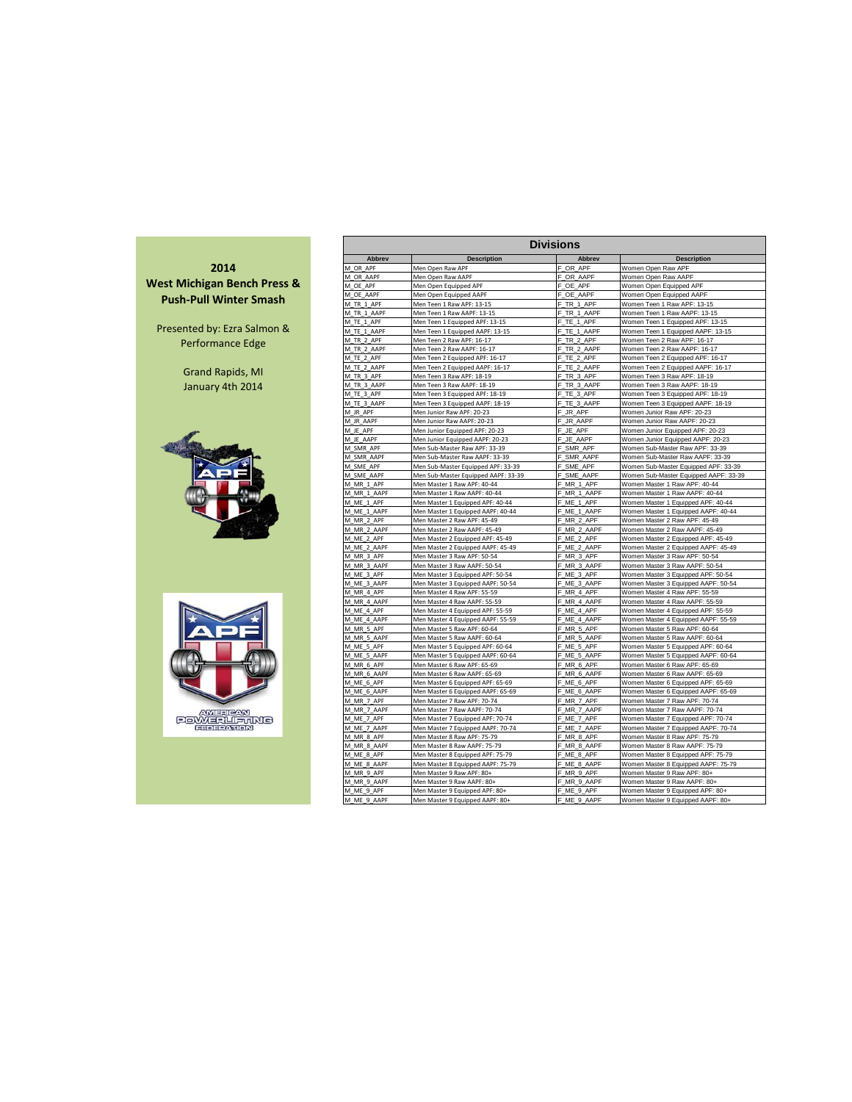

| <b>Divisions</b>          |                                                                       |                           |                                                                           |  |  |  |  |  |  |  |  |  |
|---------------------------|-----------------------------------------------------------------------|---------------------------|---------------------------------------------------------------------------|--|--|--|--|--|--|--|--|--|
| Abbrev                    | <b>Description</b>                                                    | <b>Abbrev</b>             | <b>Description</b>                                                        |  |  |  |  |  |  |  |  |  |
| M OR APF                  | Men Open Raw APF                                                      | F OR APF                  | Women Open Raw APF                                                        |  |  |  |  |  |  |  |  |  |
| M OR AAPF                 | Men Open Raw AAPF                                                     | F OR AAPF                 | Women Open Raw AAPF                                                       |  |  |  |  |  |  |  |  |  |
| M OE APF                  | Men Open Equipped APF                                                 | F OE APF                  | Women Open Equipped APF                                                   |  |  |  |  |  |  |  |  |  |
| M OE AAPF                 | Men Open Equipped AAPF                                                | F OE AAPF                 | Women Open Equipped AAPF                                                  |  |  |  |  |  |  |  |  |  |
| M TR 1 APF                | Men Teen 1 Raw APF: 13-15                                             | F<br>TR 1 APF             | Women Teen 1 Raw APF: 13-15                                               |  |  |  |  |  |  |  |  |  |
| M TR 1 AAPF               | Men Teen 1 Raw AAPF: 13-15                                            | F TR 1 AAPF               | Women Teen 1 Raw AAPF: 13-15                                              |  |  |  |  |  |  |  |  |  |
| M TE 1 APF                | Men Teen 1 Equipped APF: 13-15                                        | TE 1 APF<br>F             | Women Teen 1 Equipped APF: 13-15                                          |  |  |  |  |  |  |  |  |  |
| M TE 1 AAPF               | Men Teen 1 Equipped AAPF: 13-15                                       | TE 1 AAPF<br>F            | Women Teen 1 Equipped AAPF: 13-15                                         |  |  |  |  |  |  |  |  |  |
| M TR 2 APF                | Men Teen 2 Raw APF: 16-17                                             | TR 2 APF<br>F             | Women Teen 2 Raw APF: 16-17                                               |  |  |  |  |  |  |  |  |  |
| M_TR_2_AAPF               | Men Teen 2 Raw AAPF: 16-17                                            | F_TR_2_AAPF               | Women Teen 2 Raw AAPF: 16-17                                              |  |  |  |  |  |  |  |  |  |
| M_TE_2_APF                | Men Teen 2 Equipped APF: 16-17                                        | F<br>TE_2_APF             | Women Teen 2 Equipped APF: 16-17                                          |  |  |  |  |  |  |  |  |  |
| M TE 2 AAPF               | Men Teen 2 Equipped AAPF: 16-17                                       | F.<br>TE 2 AAPF           | Women Teen 2 Equipped AAPF: 16-17                                         |  |  |  |  |  |  |  |  |  |
| M TR 3 APF                | Men Teen 3 Raw APF: 18-19                                             | F TR 3 APF                | Women Teen 3 Raw APF: 18-19                                               |  |  |  |  |  |  |  |  |  |
| M TR 3 AAPF               | Men Teen 3 Raw AAPF: 18-19                                            | F TR 3 AAPF               | Women Teen 3 Raw AAPF: 18-19                                              |  |  |  |  |  |  |  |  |  |
| M TE 3 APF                | Men Teen 3 Equipped APF: 18-19                                        | F TE 3 APF                | Women Teen 3 Equipped APF: 18-19                                          |  |  |  |  |  |  |  |  |  |
| M TE 3 AAPF               | Men Teen 3 Equipped AAPF: 18-19                                       | F TE 3 AAPF               | Women Teen 3 Equipped AAPF: 18-19                                         |  |  |  |  |  |  |  |  |  |
| M JR APF                  | Men Junior Raw APF: 20-23                                             | JR APF<br>F               | Women Junior Raw APF: 20-23                                               |  |  |  |  |  |  |  |  |  |
| M JR AAPF                 | Men Junior Raw AAPF: 20-23                                            | F<br>JR AAPF              | Women Junior Raw AAPF: 20-23                                              |  |  |  |  |  |  |  |  |  |
| M JE APF                  | Men Junior Equipped APF: 20-23                                        | F JE APF                  | Women Junior Equipped APF: 20-23                                          |  |  |  |  |  |  |  |  |  |
| M JE AAPF                 | Men Junior Equipped AAPF: 20-23                                       | F_JE_AAPF                 | Women Junior Equipped AAPF: 20-23                                         |  |  |  |  |  |  |  |  |  |
| M SMR APF                 | Men Sub-Master Raw APF: 33-39                                         | F SMR APF                 | Women Sub-Master Raw APF: 33-39                                           |  |  |  |  |  |  |  |  |  |
| M SMR AAPF                | Men Sub-Master Raw AAPF: 33-39                                        | F SMR AAPF                | Women Sub-Master Raw AAPF: 33-39                                          |  |  |  |  |  |  |  |  |  |
| M SME APF                 | Men Sub-Master Equipped APF: 33-39                                    | F SME APF                 | Women Sub-Master Equipped APF: 33-39                                      |  |  |  |  |  |  |  |  |  |
| M SME AAPF<br>M MR 1 APF  | Men Sub-Master Equipped AAPF: 33-39<br>Men Master 1 Raw APF: 40-44    | F SME AAPF<br>F_MR_1_APF  | Women Sub-Master Equipped AAPF: 33-39<br>Women Master 1 Raw APF: 40-44    |  |  |  |  |  |  |  |  |  |
| M MR 1 AAPF               |                                                                       | F_MR_1_AAPF               | Women Master 1 Raw AAPF: 40-44                                            |  |  |  |  |  |  |  |  |  |
| M ME 1 APF                | Men Master 1 Raw AAPF: 40-44<br>Men Master 1 Equipped APF: 40-44      | F ME 1 APF                | Women Master 1 Equipped APF: 40-44                                        |  |  |  |  |  |  |  |  |  |
| M ME 1 AAPF               | Men Master 1 Equipped AAPF: 40-44                                     | F ME 1 AAPF               | Women Master 1 Equipped AAPF: 40-44                                       |  |  |  |  |  |  |  |  |  |
| M MR 2 APF                | Men Master 2 Raw APF: 45-49                                           | F MR 2 APF                | Women Master 2 Raw APF: 45-49                                             |  |  |  |  |  |  |  |  |  |
| M MR 2 AAPF               | Men Master 2 Raw AAPF: 45-49                                          | F_MR_2_AAPF               | Women Master 2 Raw AAPF: 45-49                                            |  |  |  |  |  |  |  |  |  |
| M ME 2 APF                | Men Master 2 Equipped APF: 45-49                                      | F ME 2 APF                | Women Master 2 Equipped APF: 45-49                                        |  |  |  |  |  |  |  |  |  |
| M_ME_2_AAPF               | Men Master 2 Equipped AAPF: 45-49                                     | F ME 2 AAPF               | Women Master 2 Equipped AAPF: 45-49                                       |  |  |  |  |  |  |  |  |  |
| M MR 3 APF                | Men Master 3 Raw APF: 50-54                                           | F MR 3 APF                | Women Master 3 Raw APF: 50-54                                             |  |  |  |  |  |  |  |  |  |
| M MR 3 AAPF               | Men Master 3 Raw AAPF: 50-54                                          | F MR 3 AAPF               | Women Master 3 Raw AAPF: 50-54                                            |  |  |  |  |  |  |  |  |  |
| M_ME_3_APF                | Men Master 3 Equipped APF: 50-54                                      | F_ME_3_APF                | Women Master 3 Equipped APF: 50-54                                        |  |  |  |  |  |  |  |  |  |
| M ME 3 AAPF               | Men Master 3 Equipped AAPF: 50-54                                     | F_ME_3_AAPF               | Women Master 3 Equipped AAPF: 50-54                                       |  |  |  |  |  |  |  |  |  |
| M MR 4 APF                | Men Master 4 Raw APF: 55-59                                           | F MR 4 APF                | Women Master 4 Raw APF: 55-59                                             |  |  |  |  |  |  |  |  |  |
| M MR 4 AAPF               | Men Master 4 Raw AAPF: 55-59                                          | F_MR_4_AAPF               | Women Master 4 Raw AAPF: 55-59                                            |  |  |  |  |  |  |  |  |  |
| M ME 4 APF                | Men Master 4 Equipped APF: 55-59                                      | F ME 4 APF                | Women Master 4 Equipped APF: 55-59                                        |  |  |  |  |  |  |  |  |  |
| M ME 4 AAPF               | Men Master 4 Equipped AAPF: 55-59                                     | F ME 4 AAPF               | Women Master 4 Equipped AAPF: 55-59                                       |  |  |  |  |  |  |  |  |  |
| M MR 5 APF                | Men Master 5 Raw APF: 60-64                                           | F MR 5 APF                | Women Master 5 Raw APF: 60-64                                             |  |  |  |  |  |  |  |  |  |
| M MR 5 AAPF               | Men Master 5 Raw AAPF: 60-64                                          | F MR 5 AAPF               | Women Master 5 Raw AAPF: 60-64                                            |  |  |  |  |  |  |  |  |  |
| M ME 5 APF                | Men Master 5 Equipped APF: 60-64                                      | F ME 5 APF                | Women Master 5 Equipped APF: 60-64                                        |  |  |  |  |  |  |  |  |  |
| M ME 5 AAPF               | Men Master 5 Equipped AAPF: 60-64                                     | F ME 5 AAPF               | Women Master 5 Equipped AAPF: 60-64                                       |  |  |  |  |  |  |  |  |  |
| M_MR_6_APF                | Men Master 6 Raw APF: 65-69                                           | F MR 6 APF                | Women Master 6 Raw APF: 65-69                                             |  |  |  |  |  |  |  |  |  |
| M MR 6 AAPF<br>M ME 6 APF | Men Master 6 Raw AAPF: 65-69                                          | F MR 6 AAPF<br>F ME 6 APF | Women Master 6 Raw AAPF: 65-69                                            |  |  |  |  |  |  |  |  |  |
| M_ME_6_AAPF               | Men Master 6 Equipped APF: 65-69<br>Men Master 6 Equipped AAPF: 65-69 | F_ME_6_AAPF               | Women Master 6 Equipped APF: 65-69<br>Women Master 6 Equipped AAPF: 65-69 |  |  |  |  |  |  |  |  |  |
| M MR 7 APF                | Men Master 7 Raw APF: 70-74                                           | F_MR_7_APF                | Women Master 7 Raw APF: 70-74                                             |  |  |  |  |  |  |  |  |  |
| M MR 7 AAPF               | Men Master 7 Raw AAPF: 70-74                                          | F_MR_7_AAPF               | Women Master 7 Raw AAPF: 70-74                                            |  |  |  |  |  |  |  |  |  |
| M ME 7 APF                | Men Master 7 Equipped APF: 70-74                                      | F ME 7 APF                | Women Master 7 Equipped APF: 70-74                                        |  |  |  |  |  |  |  |  |  |
| M ME 7 AAPF               | Men Master 7 Equipped AAPF: 70-74                                     | F ME 7 AAPF               | Women Master 7 Equipped AAPF: 70-74                                       |  |  |  |  |  |  |  |  |  |
| M MR 8 APF                | Men Master 8 Raw APF: 75-79                                           | F MR 8 APF                | Women Master 8 Raw APF: 75-79                                             |  |  |  |  |  |  |  |  |  |
| M MR 8 AAPF               | Men Master 8 Raw AAPF: 75-79                                          | F MR 8 AAPF               | Women Master 8 Raw AAPF: 75-79                                            |  |  |  |  |  |  |  |  |  |
| M ME 8 APF                | Men Master 8 Equipped APF: 75-79                                      | F ME 8 APF                | Women Master 8 Equipped APF: 75-79                                        |  |  |  |  |  |  |  |  |  |
| M ME 8 AAPF               | Men Master 8 Equipped AAPF: 75-79                                     | F ME 8 AAPF               | Women Master 8 Equipped AAPF: 75-79                                       |  |  |  |  |  |  |  |  |  |
| M MR 9 APF                | Men Master 9 Raw APF: 80+                                             | F MR 9 APF                | Women Master 9 Raw APF: 80+                                               |  |  |  |  |  |  |  |  |  |
| M MR 9 AAPF               | Men Master 9 Raw AAPF: 80+                                            | F MR 9 AAPF               | Women Master 9 Raw AAPF: 80+                                              |  |  |  |  |  |  |  |  |  |
| M ME 9 APF                | Men Master 9 Equipped APF: 80+                                        | F ME 9 APF                | Women Master 9 Equipped APF: 80+                                          |  |  |  |  |  |  |  |  |  |
| M_ME_9_AAPF               | Men Master 9 Equipped AAPF: 80+                                       | F_ME_9_AAPF               | Women Master 9 Equipped AAPF: 80+                                         |  |  |  |  |  |  |  |  |  |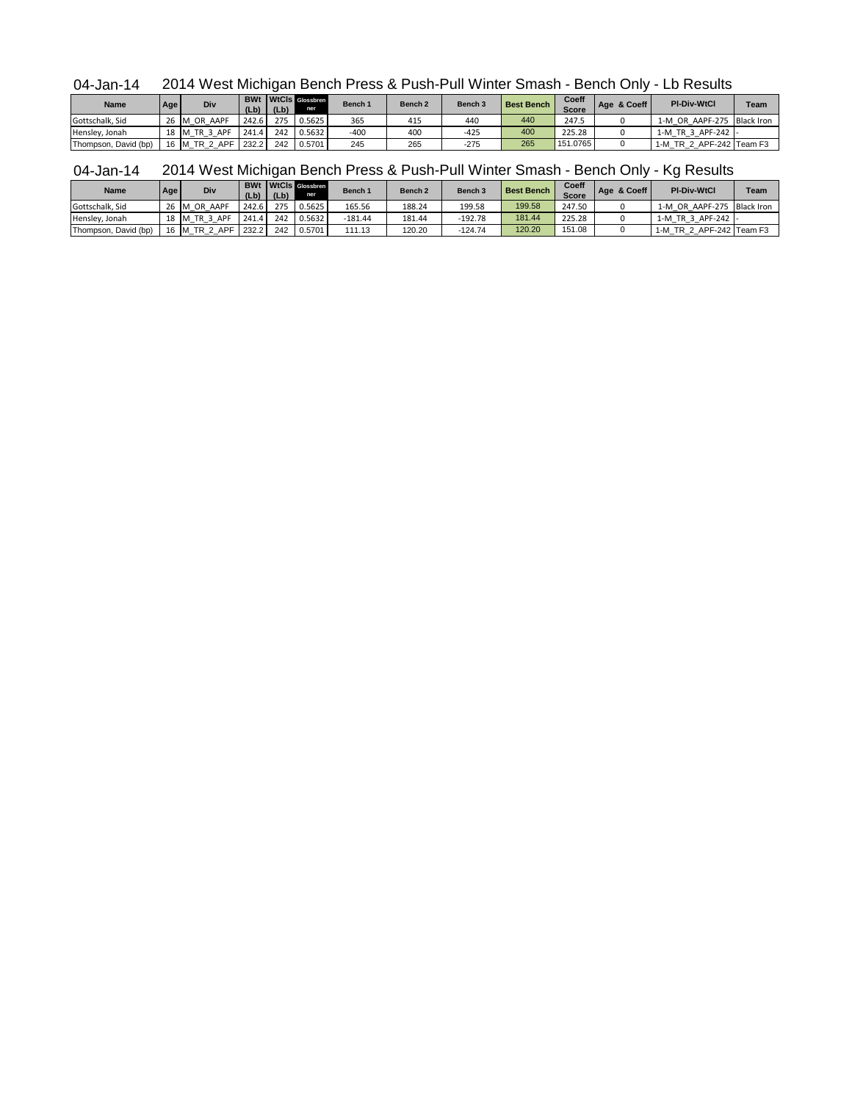04-Jan-14 2014 West Michigan Bench Press & Push-Pull Winter Smash - Bench Only - Lb Results

| <b>Name</b>          | Age  | Div      | (Lb)  | (Lb) | <b>BWt</b> WtCls Glossbren<br>ner | Bench 1 | Bench <sub>2</sub> | Bench <sub>3</sub> | <b>Best Bench</b> | Coeff<br><b>Score</b> | Age & Coeff | <b>PI-Div-WtCl</b>         | <b>Team</b> |
|----------------------|------|----------|-------|------|-----------------------------------|---------|--------------------|--------------------|-------------------|-----------------------|-------------|----------------------------|-------------|
| Gottschalk, Sid      | 26 M | OR AAPF  | 242.6 | 275  | 0.5625                            | 365     | 415                | 440                | 440               | 247.5                 |             | 1-M OR AAPF-275 Black Iron |             |
| Hensley, Jonah       | 18 M | TR 3 APF | 241.4 | 242  | 0.5632                            | $-400$  | 400                | $-425$             | 400               | 225.28                |             | 1-M TR 3 APF-242 -         |             |
| Thompson, David (bp) | 16 M | TR 2 APF | 232.2 | 242  | 0.5701                            | 245     | 265                | $-275$             | 265               | 151.0765              |             | 1-M TR 2 APF-242 Team F3   |             |

| 04-Jan-14 2014 West Michigan Bench Press & Push-Pull Winter Smash - Bench Only - Kg Results |  |                  |  |  |  |  |  |
|---------------------------------------------------------------------------------------------|--|------------------|--|--|--|--|--|
|                                                                                             |  | $B14U + 14U + 1$ |  |  |  |  |  |

| <b>Name</b>          | Age | Div           | (Lb)  | (Lb) | <b>BWt</b> WtCls Glossbren<br>ner | Bench <sub>1</sub> | Bench <sub>2</sub> | Bench 3   | <b>Best Bench</b> | Coeff<br><b>Score</b> | Age & Coeff | <b>PI-Div-WtCl</b>         | Team |
|----------------------|-----|---------------|-------|------|-----------------------------------|--------------------|--------------------|-----------|-------------------|-----------------------|-------------|----------------------------|------|
| Gottschalk, Sid      |     | 26 M OR AAPF  | 242.6 | 275  | 0.5625                            | 165.56             | 188.24             | 199.58    | 199.58            | 247.50                |             | 1-M OR AAPF-275 Black Iron |      |
| Hensley, Jonah       |     | 18 M TR 3 APF | 241.4 | 242  | 0.5632                            | $-181.44$          | 181.44             | $-192.78$ | 181.44            | 225.28                |             | 1-M TR 3 APF-242 -         |      |
| Thompson, David (bp) |     | 16 M_TR_2_APF | 232.2 | 242  | 0.5701                            | 111.13             | 120.20             | $-124.74$ | 120.20            | 151.08                |             | 1-M TR 2 APF-242 Team F3   |      |